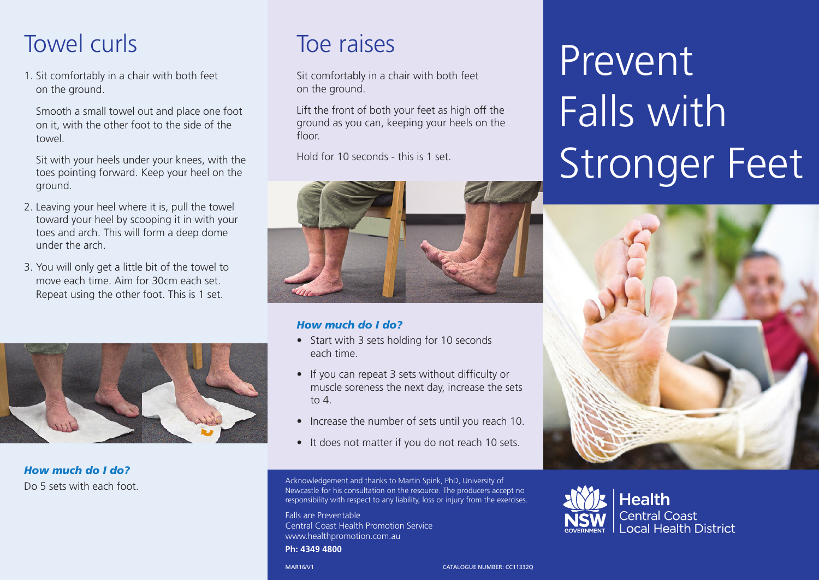### Towel curls Toe raises

1. Sit comfortably in a chair with both feet on the ground.

 Smooth a small towel out and place one foot on it, with the other foot to the side of the towel.

 Sit with your heels under your knees, with the toes pointing forward. Keep your heel on the ground.

- 2. Leaving your heel where it is, pull the towel toward your heel by scooping it in with your toes and arch. This will form a deep dome under the arch.
- 3. You will only get a little bit of the towel to move each time. Aim for 30cm each set. Repeat using the other foot. This is 1 set.



*How much do I do?* Do 5 sets with each foot.

Sit comfortably in a chair with both feet on the ground.

Lift the front of both your feet as high off the ground as you can, keeping your heels on the floor

Hold for 10 seconds - this is 1 set.

#### *How much do I do?*

- Start with 3 sets holding for 10 seconds each time.
- If you can repeat 3 sets without difficulty or muscle soreness the next day, increase the sets to  $4$
- Increase the number of sets until you reach 10.
- It does not matter if you do not reach 10 sets.

Acknowledgement and thanks to Martin Spink, PhD, University of Newcastle for his consultation on the resource. The producers accept no responsibility with respect to any liability, loss or injury from the exercises.

Falls are Preventable Central Coast Health Promotion Service [www.healthpromotion.com.au](http://www.healthpromotion.com.au)

**Ph: 4349 4800**



# Prevent Falls with Stronger Feet